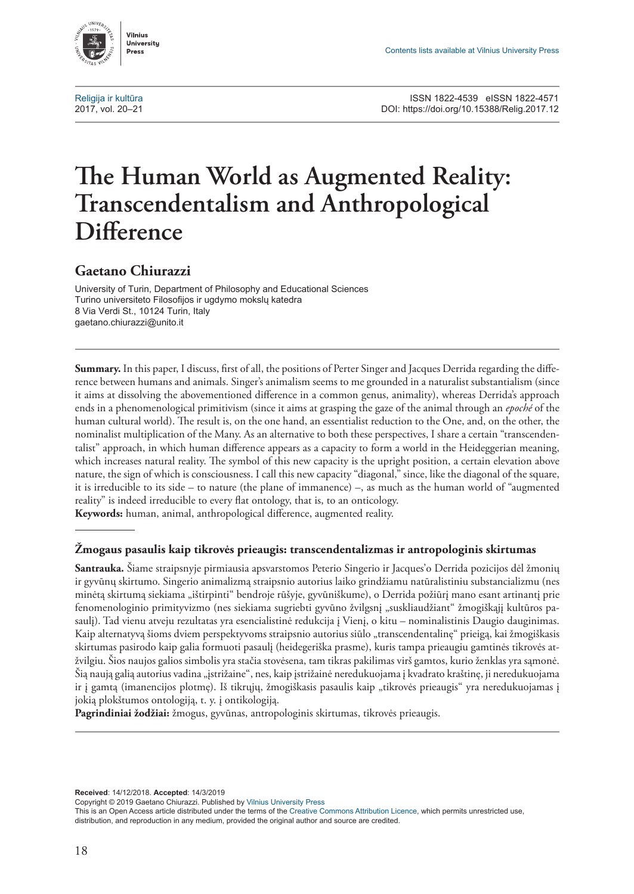

# **The Human World as Augmented Reality: Transcendentalism and Anthropological Difference**

# **Gaetano Chiurazzi**

University of Turin, Department of Philosophy and Educational Sciences Turino universiteto Filosofijos ir ugdymo mokslų katedra 8 Via Verdi St., 10124 Turin, Italy [gaetano.chiurazzi@unito.it](mailto:gaetano.chiurazzi%40unito.it?subject=)

**Summary.** In this paper, I discuss, first of all, the positions of Perter Singer and Jacques Derrida regarding the difference between humans and animals. Singer's animalism seems to me grounded in a naturalist substantialism (since it aims at dissolving the abovementioned difference in a common genus, animality), whereas Derrida's approach ends in a phenomenological primitivism (since it aims at grasping the gaze of the animal through an *epoché* of the human cultural world). The result is, on the one hand, an essentialist reduction to the One, and, on the other, the nominalist multiplication of the Many. As an alternative to both these perspectives, I share a certain "transcendentalist" approach, in which human difference appears as a capacity to form a world in the Heideggerian meaning, which increases natural reality. The symbol of this new capacity is the upright position, a certain elevation above nature, the sign of which is consciousness. I call this new capacity "diagonal," since, like the diagonal of the square, it is irreducible to its side – to nature (the plane of immanence) –, as much as the human world of "augmented reality" is indeed irreducible to every flat ontology, that is, to an onticology. **Keywords:** human, animal, anthropological difference, augmented reality.

#### **Žmogaus pasaulis kaip tikrovės prieaugis: transcendentalizmas ir antropologinis skirtumas**

**Santrauka.** Šiame straipsnyje pirmiausia apsvarstomos Peterio Singerio ir Jacques'o Derrida pozicijos dėl žmonių ir gyvūnų skirtumo. Singerio animalizmą straipsnio autorius laiko grindžiamu natūralistiniu substancializmu (nes minėtą skirtumą siekiama "ištirpinti" bendroje rūšyje, gyvūniškume), o Derrida požiūrį mano esant artinantį prie fenomenologinio primityvizmo (nes siekiama sugriebti gyvūno žvilgsnį "suskliaudžiant" žmogiškąjį kultūros pasaulį). Tad vienu atveju rezultatas yra esencialistinė redukcija į Vienį, o kitu – nominalistinis Daugio dauginimas. Kaip alternatyvą šioms dviem perspektyvoms straipsnio autorius siūlo "transcendentalinę" prieigą, kai žmogiškasis skirtumas pasirodo kaip galia formuoti pasaulį (heidegeriška prasme), kuris tampa prieaugiu gamtinės tikrovės atžvilgiu. Šios naujos galios simbolis yra stačia stovėsena, tam tikras pakilimas virš gamtos, kurio ženklas yra sąmonė. Šią naują galią autorius vadina "įstrižaine", nes, kaip įstrižainė neredukuojama į kvadrato kraštinę, ji neredukuojama ir į gamtą (imanencijos plotmę). Iš tikrųjų, žmogiškasis pasaulis kaip "tikrovės prieaugis" yra neredukuojamas į jokią plokštumos ontologiją, t. y. į ontikologiją.

**Pagrindiniai žodžiai:** žmogus, gyvūnas, antropologinis skirtumas, tikrovės prieaugis.

**Received**: 14/12/2018. **Accepted**: 14/3/2019

Copyright © 2019 Gaetano Chiurazzi. Published by Vilnius University Press

This is an Open Access article distributed under the terms of the Creative Commons Attribution Licence, which permits unrestricted use, distribution, and reproduction in any medium, provided the original author and source are credited.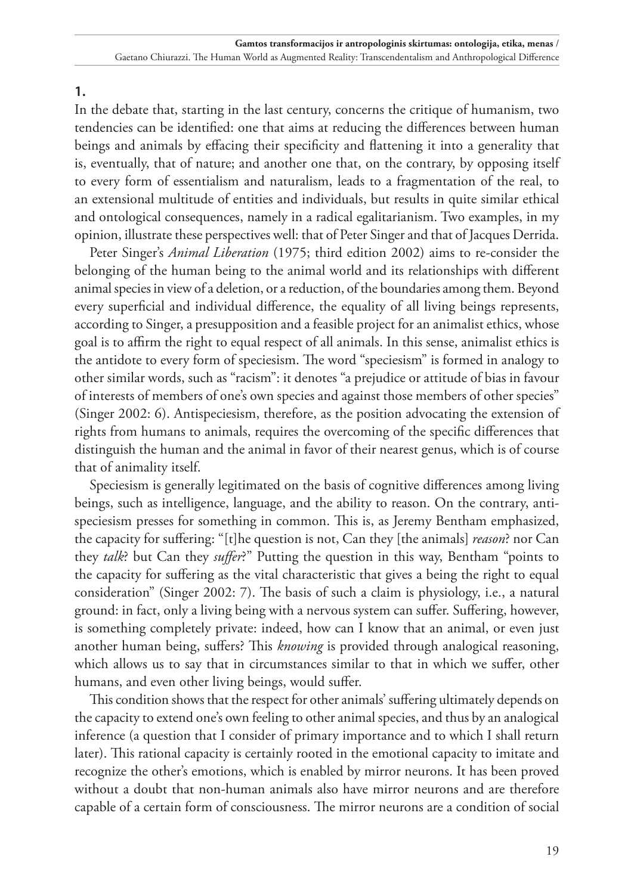**1.**

In the debate that, starting in the last century, concerns the critique of humanism, two tendencies can be identified: one that aims at reducing the differences between human beings and animals by effacing their specificity and flattening it into a generality that is, eventually, that of nature; and another one that, on the contrary, by opposing itself to every form of essentialism and naturalism, leads to a fragmentation of the real, to an extensional multitude of entities and individuals, but results in quite similar ethical and ontological consequences, namely in a radical egalitarianism. Two examples, in my opinion, illustrate these perspectives well: that of Peter Singer and that of Jacques Derrida.

Peter Singer's *Animal Liberation* (1975; third edition 2002) aims to re-consider the belonging of the human being to the animal world and its relationships with different animal species in view of a deletion, or a reduction, of the boundaries among them. Beyond every superficial and individual difference, the equality of all living beings represents, according to Singer, a presupposition and a feasible project for an animalist ethics, whose goal is to affirm the right to equal respect of all animals. In this sense, animalist ethics is the antidote to every form of speciesism. The word "speciesism" is formed in analogy to other similar words, such as "racism": it denotes "a prejudice or attitude of bias in favour of interests of members of one's own species and against those members of other species" (Singer 2002: 6). Antispeciesism, therefore, as the position advocating the extension of rights from humans to animals, requires the overcoming of the specific differences that distinguish the human and the animal in favor of their nearest genus, which is of course that of animality itself.

Speciesism is generally legitimated on the basis of cognitive differences among living beings, such as intelligence, language, and the ability to reason. On the contrary, antispeciesism presses for something in common. This is, as Jeremy Bentham emphasized, the capacity for suffering: "[t]he question is not, Can they [the animals] *reason*? nor Can they *talk*? but Can they *suffer*?" Putting the question in this way, Bentham "points to the capacity for suffering as the vital characteristic that gives a being the right to equal consideration" (Singer 2002: 7). The basis of such a claim is physiology, i.e., a natural ground: in fact, only a living being with a nervous system can suffer. Suffering, however, is something completely private: indeed, how can I know that an animal, or even just another human being, suffers? This *knowing* is provided through analogical reasoning, which allows us to say that in circumstances similar to that in which we suffer, other humans, and even other living beings, would suffer.

This condition shows that the respect for other animals' suffering ultimately depends on the capacity to extend one's own feeling to other animal species, and thus by an analogical inference (a question that I consider of primary importance and to which I shall return later). This rational capacity is certainly rooted in the emotional capacity to imitate and recognize the other's emotions, which is enabled by mirror neurons. It has been proved without a doubt that non-human animals also have mirror neurons and are therefore capable of a certain form of consciousness. The mirror neurons are a condition of social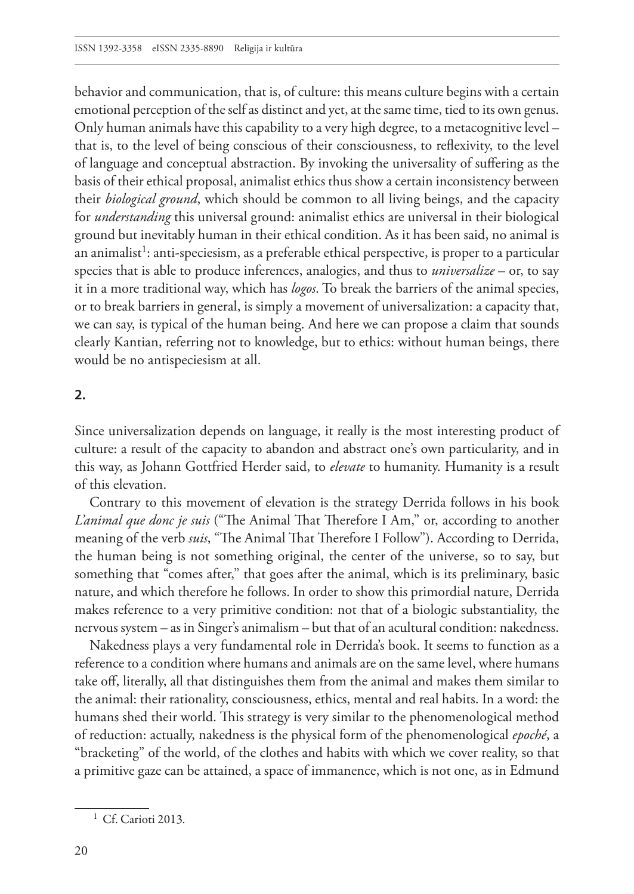behavior and communication, that is, of culture: this means culture begins with a certain emotional perception of the self as distinct and yet, at the same time, tied to its own genus. Only human animals have this capability to a very high degree, to a metacognitive level – that is, to the level of being conscious of their consciousness, to reflexivity, to the level of language and conceptual abstraction. By invoking the universality of suffering as the basis of their ethical proposal, animalist ethics thus show a certain inconsistency between their *biological ground*, which should be common to all living beings, and the capacity for *understanding* this universal ground: animalist ethics are universal in their biological ground but inevitably human in their ethical condition. As it has been said, no animal is an animalist<sup>1</sup>: anti-speciesism, as a preferable ethical perspective, is proper to a particular species that is able to produce inferences, analogies, and thus to *universalize* – or, to say it in a more traditional way, which has *logos*. To break the barriers of the animal species, or to break barriers in general, is simply a movement of universalization: a capacity that, we can say, is typical of the human being. And here we can propose a claim that sounds clearly Kantian, referring not to knowledge, but to ethics: without human beings, there would be no antispeciesism at all.

## **2.**

Since universalization depends on language, it really is the most interesting product of culture: a result of the capacity to abandon and abstract one's own particularity, and in this way, as Johann Gottfried Herder said, to *elevate* to humanity. Humanity is a result of this elevation.

Contrary to this movement of elevation is the strategy Derrida follows in his book *L'animal que donc je suis* ("The Animal That Therefore I Am," or, according to another meaning of the verb *suis*, "The Animal That Therefore I Follow"). According to Derrida, the human being is not something original, the center of the universe, so to say, but something that "comes after," that goes after the animal, which is its preliminary, basic nature, and which therefore he follows. In order to show this primordial nature, Derrida makes reference to a very primitive condition: not that of a biologic substantiality, the nervous system – as in Singer's animalism – but that of an acultural condition: nakedness.

Nakedness plays a very fundamental role in Derrida's book. It seems to function as a reference to a condition where humans and animals are on the same level, where humans take off, literally, all that distinguishes them from the animal and makes them similar to the animal: their rationality, consciousness, ethics, mental and real habits. In a word: the humans shed their world. This strategy is very similar to the phenomenological method of reduction: actually, nakedness is the physical form of the phenomenological *epoché*, a "bracketing" of the world, of the clothes and habits with which we cover reality, so that a primitive gaze can be attained, a space of immanence, which is not one, as in Edmund

<sup>&</sup>lt;sup>1</sup> Cf. Carioti 2013.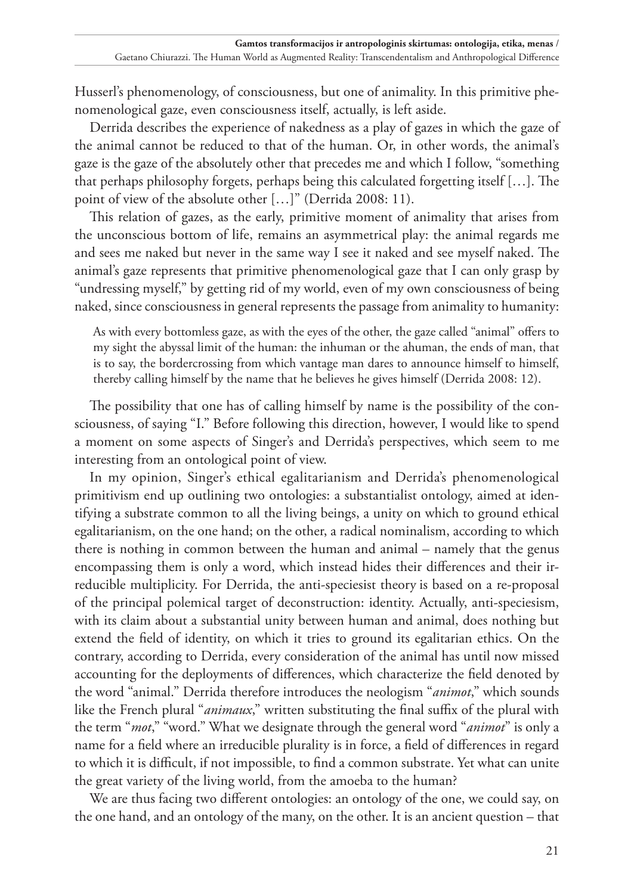Husserl's phenomenology, of consciousness, but one of animality. In this primitive phenomenological gaze, even consciousness itself, actually, is left aside.

Derrida describes the experience of nakedness as a play of gazes in which the gaze of the animal cannot be reduced to that of the human. Or, in other words, the animal's gaze is the gaze of the absolutely other that precedes me and which I follow, "something that perhaps philosophy forgets, perhaps being this calculated forgetting itself […]. The point of view of the absolute other […]" (Derrida 2008: 11).

This relation of gazes, as the early, primitive moment of animality that arises from the unconscious bottom of life, remains an asymmetrical play: the animal regards me and sees me naked but never in the same way I see it naked and see myself naked. The animal's gaze represents that primitive phenomenological gaze that I can only grasp by "undressing myself," by getting rid of my world, even of my own consciousness of being naked, since consciousness in general represents the passage from animality to humanity:

As with every bottomless gaze, as with the eyes of the other, the gaze called "animal" offers to my sight the abyssal limit of the human: the inhuman or the ahuman, the ends of man, that is to say, the bordercrossing from which vantage man dares to announce himself to himself, thereby calling himself by the name that he believes he gives himself (Derrida 2008: 12).

The possibility that one has of calling himself by name is the possibility of the consciousness, of saying "I." Before following this direction, however, I would like to spend a moment on some aspects of Singer's and Derrida's perspectives, which seem to me interesting from an ontological point of view.

In my opinion, Singer's ethical egalitarianism and Derrida's phenomenological primitivism end up outlining two ontologies: a substantialist ontology, aimed at identifying a substrate common to all the living beings, a unity on which to ground ethical egalitarianism, on the one hand; on the other, a radical nominalism, according to which there is nothing in common between the human and animal – namely that the genus encompassing them is only a word, which instead hides their differences and their irreducible multiplicity. For Derrida, the anti-speciesist theory is based on a re-proposal of the principal polemical target of deconstruction: identity. Actually, anti-speciesism, with its claim about a substantial unity between human and animal, does nothing but extend the field of identity, on which it tries to ground its egalitarian ethics. On the contrary, according to Derrida, every consideration of the animal has until now missed accounting for the deployments of differences, which characterize the field denoted by the word "animal." Derrida therefore introduces the neologism "*animot*," which sounds like the French plural "*animaux*," written substituting the final suffix of the plural with the term "*mot*," "word." What we designate through the general word "*animot*" is only a name for a field where an irreducible plurality is in force, a field of differences in regard to which it is difficult, if not impossible, to find a common substrate. Yet what can unite the great variety of the living world, from the amoeba to the human?

We are thus facing two different ontologies: an ontology of the one, we could say, on the one hand, and an ontology of the many, on the other. It is an ancient question – that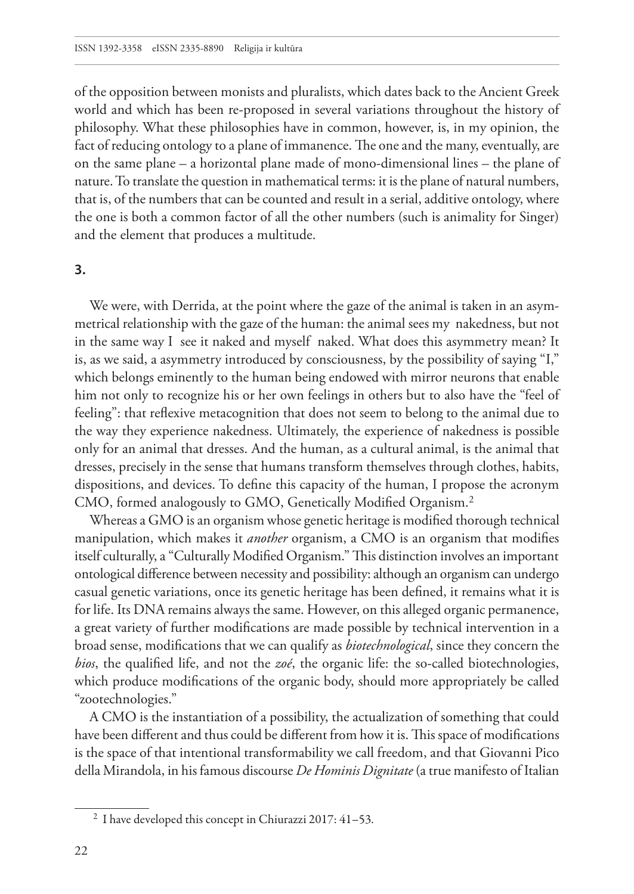of the opposition between monists and pluralists, which dates back to the Ancient Greek world and which has been re-proposed in several variations throughout the history of philosophy. What these philosophies have in common, however, is, in my opinion, the fact of reducing ontology to a plane of immanence. The one and the many, eventually, are on the same plane – a horizontal plane made of mono-dimensional lines – the plane of nature. To translate the question in mathematical terms: it is the plane of natural numbers, that is, of the numbers that can be counted and result in a serial, additive ontology, where the one is both a common factor of all the other numbers (such is animality for Singer) and the element that produces a multitude.

#### **3.**

We were, with Derrida, at the point where the gaze of the animal is taken in an asymmetrical relationship with the gaze of the human: the animal sees my nakedness, but not in the same way I see it naked and myself naked. What does this asymmetry mean? It is, as we said, a asymmetry introduced by consciousness, by the possibility of saying "I," which belongs eminently to the human being endowed with mirror neurons that enable him not only to recognize his or her own feelings in others but to also have the "feel of feeling": that reflexive metacognition that does not seem to belong to the animal due to the way they experience nakedness. Ultimately, the experience of nakedness is possible only for an animal that dresses. And the human, as a cultural animal, is the animal that dresses, precisely in the sense that humans transform themselves through clothes, habits, dispositions, and devices. To define this capacity of the human, I propose the acronym CMO, formed analogously to GMO, Genetically Modified Organism.2

Whereas a GMO is an organism whose genetic heritage is modified thorough technical manipulation, which makes it *another* organism, a CMO is an organism that modifies itself culturally, a "Culturally Modified Organism." This distinction involves an important ontological difference between necessity and possibility: although an organism can undergo casual genetic variations, once its genetic heritage has been defined, it remains what it is for life. Its DNA remains always the same. However, on this alleged organic permanence, a great variety of further modifications are made possible by technical intervention in a broad sense, modifications that we can qualify as *biotechnological*, since they concern the *bios*, the qualified life, and not the *zoé*, the organic life: the so-called biotechnologies, which produce modifications of the organic body, should more appropriately be called "zootechnologies."

A CMO is the instantiation of a possibility, the actualization of something that could have been different and thus could be different from how it is. This space of modifications is the space of that intentional transformability we call freedom, and that Giovanni Pico della Mirandola, in his famous discourse *De Hominis Dignitate* (a true manifesto of Italian

<sup>2</sup> I have developed this concept in Chiurazzi 2017: 41–53.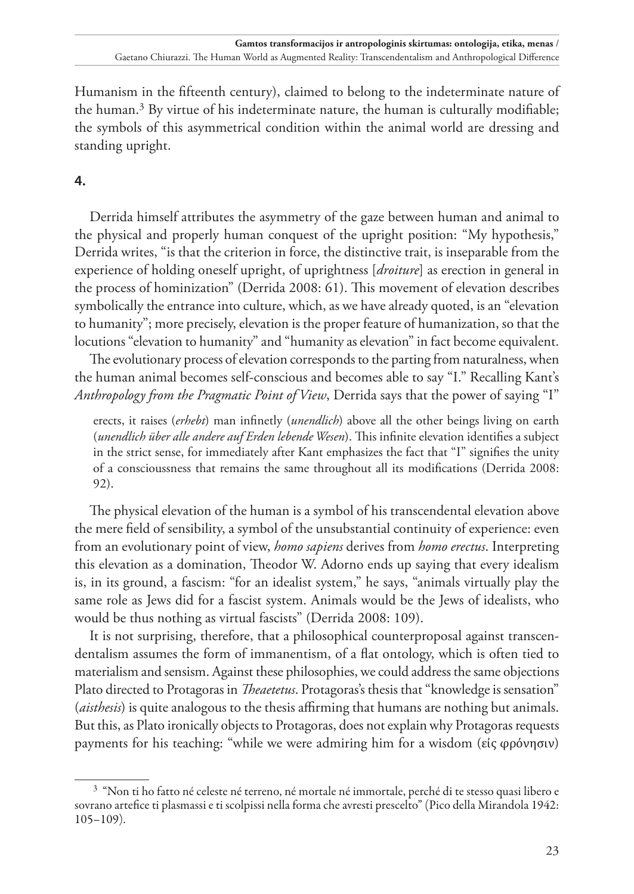Humanism in the fifteenth century), claimed to belong to the indeterminate nature of the human.3 By virtue of his indeterminate nature, the human is culturally modifiable; the symbols of this asymmetrical condition within the animal world are dressing and standing upright.

## **4.**

Derrida himself attributes the asymmetry of the gaze between human and animal to the physical and properly human conquest of the upright position: "My hypothesis," Derrida writes, "is that the criterion in force, the distinctive trait, is inseparable from the experience of holding oneself upright, of uprightness [*droiture*] as erection in general in the process of hominization" (Derrida 2008: 61). This movement of elevation describes symbolically the entrance into culture, which, as we have already quoted, is an "elevation to humanity"; more precisely, elevation is the proper feature of humanization, so that the locutions "elevation to humanity" and "humanity as elevation" in fact become equivalent.

The evolutionary process of elevation corresponds to the parting from naturalness, when the human animal becomes self-conscious and becomes able to say "I." Recalling Kant's *Anthropology from the Pragmatic Point of View*, Derrida says that the power of saying "I"

erects, it raises (*erhebt*) man infinetly (*unendlich*) above all the other beings living on earth (*unendlich über alle andere auf Erden lebende Wesen*). This infinite elevation identifies a subject in the strict sense, for immediately after Kant emphasizes the fact that "I" signifies the unity of a conscioussness that remains the same throughout all its modifications (Derrida 2008: 92).

The physical elevation of the human is a symbol of his transcendental elevation above the mere field of sensibility, a symbol of the unsubstantial continuity of experience: even from an evolutionary point of view, *homo sapiens* derives from *homo erectus*. Interpreting this elevation as a domination, Theodor W. Adorno ends up saying that every idealism is, in its ground, a fascism: "for an idealist system," he says, "animals virtually play the same role as Jews did for a fascist system. Animals would be the Jews of idealists, who would be thus nothing as virtual fascists" (Derrida 2008: 109).

It is not surprising, therefore, that a philosophical counterproposal against transcendentalism assumes the form of immanentism, of a flat ontology, which is often tied to materialism and sensism. Against these philosophies, we could address the same objections Plato directed to Protagoras in *Theaetetus*. Protagoras's thesis that "knowledge is sensation" (*aisthesis*) is quite analogous to the thesis affirming that humans are nothing but animals. But this, as Plato ironically objects to Protagoras, does not explain why Protagoras requests payments for his teaching: "while we were admiring him for a wisdom (εἰς φρόνησιν)

<sup>3</sup> "Non ti ho fatto né celeste né terreno, né mortale né immortale, perché di te stesso quasi libero e sovrano artefice ti plasmassi e ti scolpissi nella forma che avresti prescelto" (Pico della Mirandola 1942: 105–109).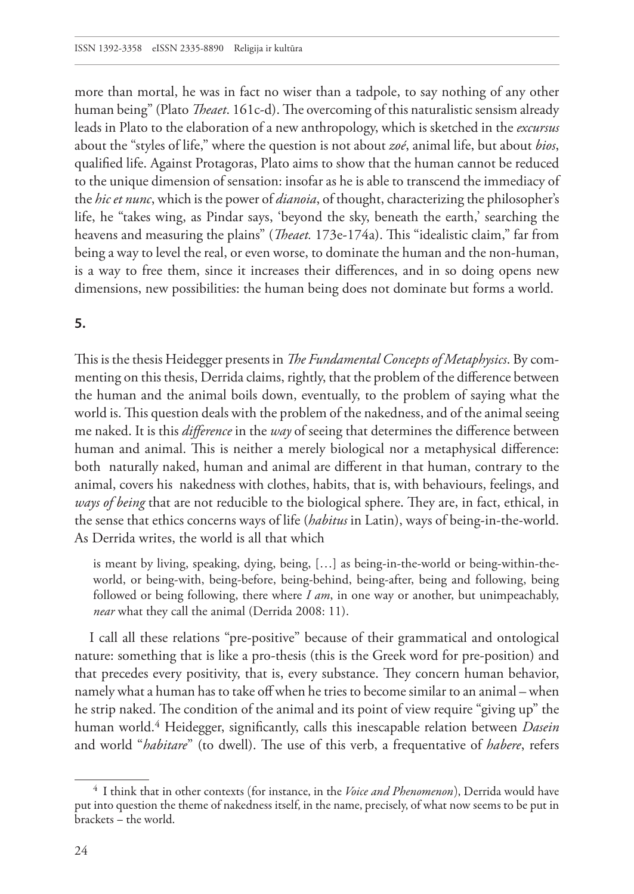more than mortal, he was in fact no wiser than a tadpole, to say nothing of any other human being" (Plato *Theaet*. 161c-d). The overcoming of this naturalistic sensism already leads in Plato to the elaboration of a new anthropology, which is sketched in the *excursus* about the "styles of life," where the question is not about *zoé*, animal life, but about *bios*, qualified life. Against Protagoras, Plato aims to show that the human cannot be reduced to the unique dimension of sensation: insofar as he is able to transcend the immediacy of the *hic et nunc*, which is the power of *dianoia*, of thought, characterizing the philosopher's life, he "takes wing, as Pindar says, 'beyond the sky, beneath the earth,' searching the heavens and measuring the plains" (*Theaet.* 173e-174a). This "idealistic claim," far from being a way to level the real, or even worse, to dominate the human and the non-human, is a way to free them, since it increases their differences, and in so doing opens new dimensions, new possibilities: the human being does not dominate but forms a world.

### **5.**

This is the thesis Heidegger presents in *The Fundamental Concepts of Metaphysics*. By commenting on this thesis, Derrida claims, rightly, that the problem of the difference between the human and the animal boils down, eventually, to the problem of saying what the world is. This question deals with the problem of the nakedness, and of the animal seeing me naked. It is this *difference* in the *way* of seeing that determines the difference between human and animal. This is neither a merely biological nor a metaphysical difference: both naturally naked, human and animal are different in that human, contrary to the animal, covers his nakedness with clothes, habits, that is, with behaviours, feelings, and *ways of being* that are not reducible to the biological sphere. They are, in fact, ethical, in the sense that ethics concerns ways of life (*habitus* in Latin), ways of being-in-the-world. As Derrida writes, the world is all that which

is meant by living, speaking, dying, being, […] as being-in-the-world or being-within-theworld, or being-with, being-before, being-behind, being-after, being and following, being followed or being following, there where *I am*, in one way or another, but unimpeachably, *near* what they call the animal (Derrida 2008: 11).

I call all these relations "pre-positive" because of their grammatical and ontological nature: something that is like a pro-thesis (this is the Greek word for pre-position) and that precedes every positivity, that is, every substance. They concern human behavior, namely what a human has to take off when he tries to become similar to an animal – when he strip naked. The condition of the animal and its point of view require "giving up" the human world.4 Heidegger, significantly, calls this inescapable relation between *Dasein* and world "*habitare*" (to dwell). The use of this verb, a frequentative of *habere*, refers

<sup>4</sup> I think that in other contexts (for instance, in the *Voice and Phenomenon*), Derrida would have put into question the theme of nakedness itself, in the name, precisely, of what now seems to be put in brackets – the world.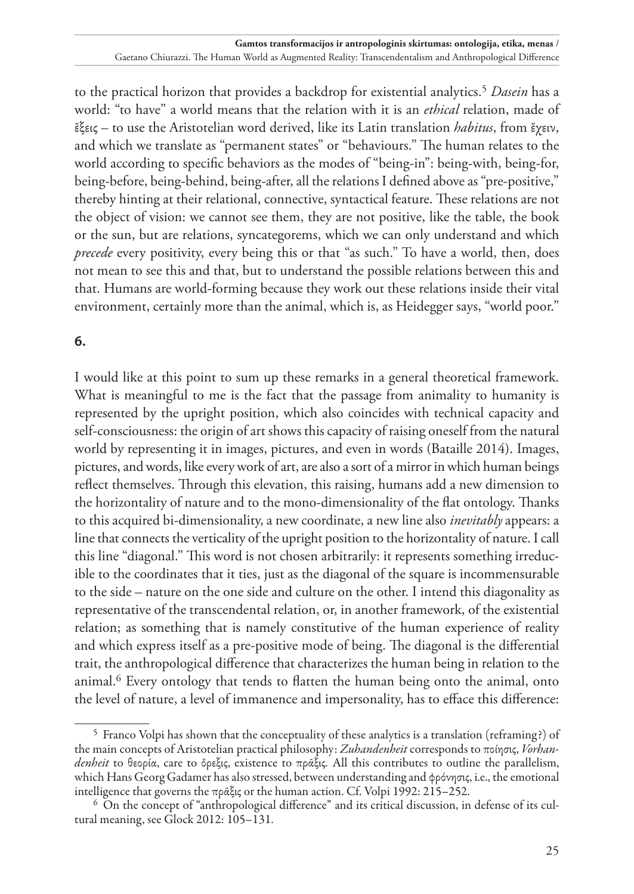to the practical horizon that provides a backdrop for existential analytics.5 *Dasein* has a world: "to have" a world means that the relation with it is an *ethical* relation, made of ἕξεις – to use the Aristotelian word derived, like its Latin translation *habitus*, from ἕχειν, and which we translate as "permanent states" or "behaviours." The human relates to the world according to specific behaviors as the modes of "being-in": being-with, being-for, being-before, being-behind, being-after, all the relations I defined above as "pre-positive," thereby hinting at their relational, connective, syntactical feature. These relations are not the object of vision: we cannot see them, they are not positive, like the table, the book or the sun, but are relations, syncategorems, which we can only understand and which *precede* every positivity, every being this or that "as such." To have a world, then, does not mean to see this and that, but to understand the possible relations between this and that. Humans are world-forming because they work out these relations inside their vital environment, certainly more than the animal, which is, as Heidegger says, "world poor."

# **6.**

I would like at this point to sum up these remarks in a general theoretical framework. What is meaningful to me is the fact that the passage from animality to humanity is represented by the upright position, which also coincides with technical capacity and self-consciousness: the origin of art shows this capacity of raising oneself from the natural world by representing it in images, pictures, and even in words (Bataille 2014). Images, pictures, and words, like every work of art, are also a sort of a mirror in which human beings reflect themselves. Through this elevation, this raising, humans add a new dimension to the horizontality of nature and to the mono-dimensionality of the flat ontology. Thanks to this acquired bi-dimensionality, a new coordinate, a new line also *inevitably* appears: a line that connects the verticality of the upright position to the horizontality of nature. I call this line "diagonal." This word is not chosen arbitrarily: it represents something irreducible to the coordinates that it ties, just as the diagonal of the square is incommensurable to the side – nature on the one side and culture on the other. I intend this diagonality as representative of the transcendental relation, or, in another framework, of the existential relation; as something that is namely constitutive of the human experience of reality and which express itself as a pre-positive mode of being. The diagonal is the differential trait, the anthropological difference that characterizes the human being in relation to the animal.<sup>6</sup> Every ontology that tends to flatten the human being onto the animal, onto the level of nature, a level of immanence and impersonality, has to efface this difference:

<sup>5</sup> Franco Volpi has shown that the conceptuality of these analytics is a translation (reframing?) of the main concepts of Aristotelian practical philosophy: *Zuhandenheit* corresponds to ποίησις, *Vorhandenheit* to θεορία, care to ὄρεξις, existence to πρᾶξις*.* All this contributes to outline the parallelism, which Hans Georg Gadamer has also stressed, between understanding and φρόνησις, i.e., the emotional intelligence that governs the πρᾶξις or the human action. Cf. Volpi 1992: 215–252.

<sup>6</sup> On the concept of "anthropological difference" and its critical discussion, in defense of its cultural meaning, see Glock 2012: 105–131.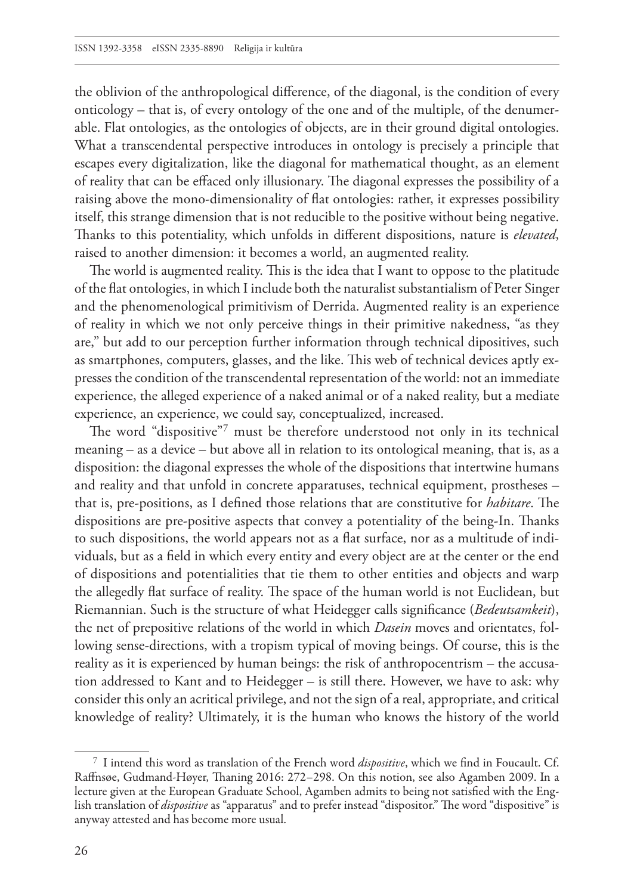the oblivion of the anthropological difference, of the diagonal, is the condition of every onticology – that is, of every ontology of the one and of the multiple, of the denumerable. Flat ontologies, as the ontologies of objects, are in their ground digital ontologies. What a transcendental perspective introduces in ontology is precisely a principle that escapes every digitalization, like the diagonal for mathematical thought, as an element of reality that can be effaced only illusionary. The diagonal expresses the possibility of a raising above the mono-dimensionality of flat ontologies: rather, it expresses possibility itself, this strange dimension that is not reducible to the positive without being negative. Thanks to this potentiality, which unfolds in different dispositions, nature is *elevated*, raised to another dimension: it becomes a world, an augmented reality.

The world is augmented reality. This is the idea that I want to oppose to the platitude of the flat ontologies, in which I include both the naturalist substantialism of Peter Singer and the phenomenological primitivism of Derrida. Augmented reality is an experience of reality in which we not only perceive things in their primitive nakedness, "as they are," but add to our perception further information through technical dipositives, such as smartphones, computers, glasses, and the like. This web of technical devices aptly expresses the condition of the transcendental representation of the world: not an immediate experience, the alleged experience of a naked animal or of a naked reality, but a mediate experience, an experience, we could say, conceptualized, increased.

The word "dispositive"7 must be therefore understood not only in its technical meaning – as a device – but above all in relation to its ontological meaning, that is, as a disposition: the diagonal expresses the whole of the dispositions that intertwine humans and reality and that unfold in concrete apparatuses, technical equipment, prostheses – that is, pre-positions, as I defined those relations that are constitutive for *habitare*. The dispositions are pre-positive aspects that convey a potentiality of the being-In. Thanks to such dispositions, the world appears not as a flat surface, nor as a multitude of individuals, but as a field in which every entity and every object are at the center or the end of dispositions and potentialities that tie them to other entities and objects and warp the allegedly flat surface of reality. The space of the human world is not Euclidean, but Riemannian. Such is the structure of what Heidegger calls significance (*Bedeutsamkeit*), the net of prepositive relations of the world in which *Dasein* moves and orientates, following sense-directions, with a tropism typical of moving beings. Of course, this is the reality as it is experienced by human beings: the risk of anthropocentrism – the accusation addressed to Kant and to Heidegger – is still there. However, we have to ask: why consider this only an acritical privilege, and not the sign of a real, appropriate, and critical knowledge of reality? Ultimately, it is the human who knows the history of the world

<sup>7</sup> I intend this word as translation of the French word *dispositive*, which we find in Foucault. Cf. Raffnsøe, Gudmand-Høyer, Thaning 2016: 272–298. On this notion, see also Agamben 2009. In a lecture given at the European Graduate School, Agamben admits to being not satisfied with the English translation of *dispositive* as "apparatus" and to prefer instead "dispositor." The word "dispositive" is anyway attested and has become more usual.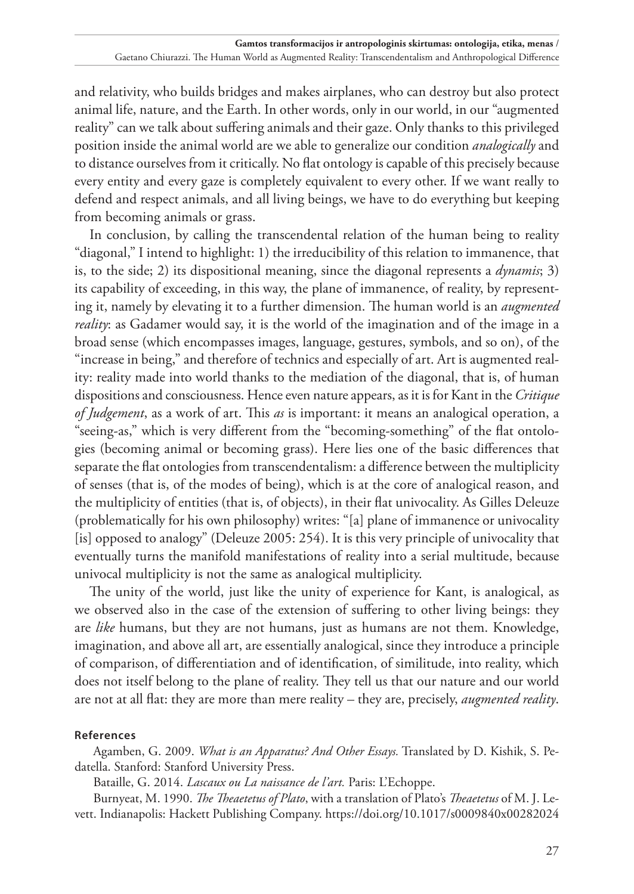and relativity, who builds bridges and makes airplanes, who can destroy but also protect animal life, nature, and the Earth. In other words, only in our world, in our "augmented reality" can we talk about suffering animals and their gaze. Only thanks to this privileged position inside the animal world are we able to generalize our condition *analogically* and to distance ourselves from it critically. No flat ontology is capable of this precisely because every entity and every gaze is completely equivalent to every other. If we want really to defend and respect animals, and all living beings, we have to do everything but keeping from becoming animals or grass.

In conclusion, by calling the transcendental relation of the human being to reality "diagonal," I intend to highlight: 1) the irreducibility of this relation to immanence, that is, to the side; 2) its dispositional meaning, since the diagonal represents a *dynamis*; 3) its capability of exceeding, in this way, the plane of immanence, of reality, by representing it, namely by elevating it to a further dimension. The human world is an *augmented reality*: as Gadamer would say, it is the world of the imagination and of the image in a broad sense (which encompasses images, language, gestures, symbols, and so on), of the "increase in being," and therefore of technics and especially of art. Art is augmented reality: reality made into world thanks to the mediation of the diagonal, that is, of human dispositions and consciousness. Hence even nature appears, as it is for Kant in the *Critique of Judgement*, as a work of art. This *as* is important: it means an analogical operation, a "seeing-as," which is very different from the "becoming-something" of the flat ontologies (becoming animal or becoming grass). Here lies one of the basic differences that separate the flat ontologies from transcendentalism: a difference between the multiplicity of senses (that is, of the modes of being), which is at the core of analogical reason, and the multiplicity of entities (that is, of objects), in their flat univocality. As Gilles Deleuze (problematically for his own philosophy) writes: "[a] plane of immanence or univocality [is] opposed to analogy" (Deleuze 2005: 254). It is this very principle of univocality that eventually turns the manifold manifestations of reality into a serial multitude, because univocal multiplicity is not the same as analogical multiplicity.

The unity of the world, just like the unity of experience for Kant, is analogical, as we observed also in the case of the extension of suffering to other living beings: they are *like* humans, but they are not humans, just as humans are not them. Knowledge, imagination, and above all art, are essentially analogical, since they introduce a principle of comparison, of differentiation and of identification, of similitude, into reality, which does not itself belong to the plane of reality. They tell us that our nature and our world are not at all flat: they are more than mere reality – they are, precisely, *augmented reality*.

## **References**

Agamben, G. 2009. *What is an Apparatus? And Other Essays.* Translated by D. Kishik, S. Pedatella. Stanford: Stanford University Press.

Bataille, G. 2014. *Lascaux ou La naissance de l'art.* Paris: L'Echoppe.

Burnyeat, M. 1990. *The Theaetetus of Plato*, with a translation of Plato's *Theaetetus* of M. J. Levett. Indianapolis: Hackett Publishing Company. https://doi.org/10.1017/s0009840x00282024